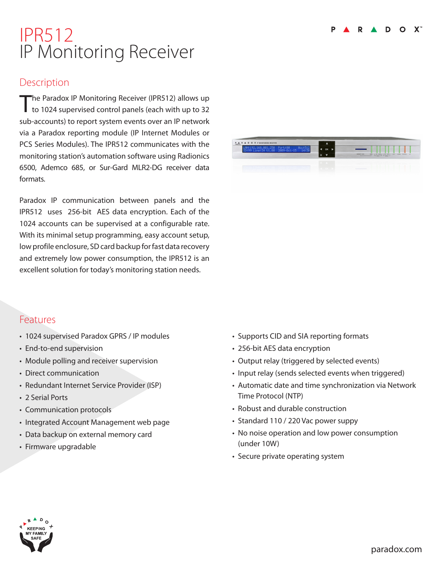# IPR512 IP Monitoring Receiver

### **Description**

The Paradox IP Monitoring Receiver (IPR512) allows up<br>to 1024 supervised control panels (each with up to 32 sub-accounts) to report system events over an IP network via a Paradox reporting module (IP Internet Modules or PCS Series Modules). The IPR512 communicates with the monitoring station's automation software using Radionics 6500, Ademco 685, or Sur-Gard MLR2-DG receiver data formats.

Paradox IP communication between panels and the IPR512 uses 256-bit AES data encryption. Each of the 1024 accounts can be supervised at a configurable rate. With its minimal setup programming, easy account setup, low profile enclosure, SD card backup for fast data recovery and extremely low power consumption, the IPR512 is an excellent solution for today's monitoring station needs.

## Features

- 1024 supervised Paradox GPRS / IP modules
- End-to-end supervision
- Module polling and receiver supervision
- Direct communication
- Redundant Internet Service Provider (ISP)
- 2 Serial Ports
- Communication protocols
- Integrated Account Management web page
- Data backup on external memory card
- Firmware upgradable

| LAN:192.168.001.250 Port:80 Acc:512<br>ID:99 Line:34 V1.00 2009-0ct-15 14:30 | OK |                                                                                                              |  |
|------------------------------------------------------------------------------|----|--------------------------------------------------------------------------------------------------------------|--|
|                                                                              |    | INEMORY CARD<br>1.06. DAM 1 1.0K DAM 1<br><b>CATA</b><br>LKN.<br><b>BERAL</b><br>TROUBLE AD<br>Linnie Linnes |  |
|                                                                              |    | <b>CONTRACTOR</b>                                                                                            |  |
|                                                                              |    | <b>Contract Contract Contract</b>                                                                            |  |

- Supports CID and SIA reporting formats
- 256-bit AES data encryption
- Output relay (triggered by selected events)
- Input relay (sends selected events when triggered)
- Automatic date and time synchronization via Network Time Protocol (NTP)
- Robust and durable construction
- Standard 110 / 220 Vac power suppy
- No noise operation and low power consumption (under 10W)
- Secure private operating system